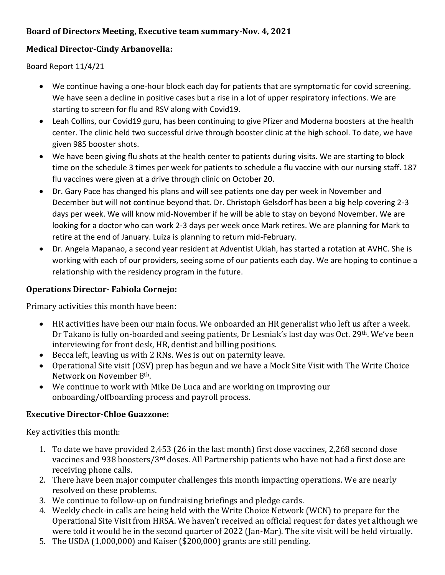# **Board of Directors Meeting, Executive team summary-Nov. 4, 2021**

## **Medical Director-Cindy Arbanovella:**

Board Report 11/4/21

- We continue having a one-hour block each day for patients that are symptomatic for covid screening. We have seen a decline in positive cases but a rise in a lot of upper respiratory infections. We are starting to screen for flu and RSV along with Covid19.
- Leah Collins, our Covid19 guru, has been continuing to give Pfizer and Moderna boosters at the health center. The clinic held two successful drive through booster clinic at the high school. To date, we have given 985 booster shots.
- We have been giving flu shots at the health center to patients during visits. We are starting to block time on the schedule 3 times per week for patients to schedule a flu vaccine with our nursing staff. 187 flu vaccines were given at a drive through clinic on October 20.
- Dr. Gary Pace has changed his plans and will see patients one day per week in November and December but will not continue beyond that. Dr. Christoph Gelsdorf has been a big help covering 2-3 days per week. We will know mid-November if he will be able to stay on beyond November. We are looking for a doctor who can work 2-3 days per week once Mark retires. We are planning for Mark to retire at the end of January. Luiza is planning to return mid-February.
- Dr. Angela Mapanao, a second year resident at Adventist Ukiah, has started a rotation at AVHC. She is working with each of our providers, seeing some of our patients each day. We are hoping to continue a relationship with the residency program in the future.

## **Operations Director- Fabiola Cornejo:**

Primary activities this month have been:

- HR activities have been our main focus. We onboarded an HR generalist who left us after a week. Dr Takano is fully on-boarded and seeing patients, Dr Lesniak's last day was Oct. 29th. We've been interviewing for front desk, HR, dentist and billing positions.
- Becca left, leaving us with 2 RNs. Wes is out on paternity leave.
- Operational Site visit (OSV) prep has begun and we have a Mock Site Visit with The Write Choice Network on November 8th.
- We continue to work with Mike De Luca and are working on improving our onboarding/offboarding process and payroll process.

### **Executive Director-Chloe Guazzone:**

Key activities this month:

- 1. To date we have provided 2,453 (26 in the last month) first dose vaccines, 2,268 second dose vaccines and 938 boosters/3rd doses. All Partnership patients who have not had a first dose are receiving phone calls.
- 2. There have been major computer challenges this month impacting operations. We are nearly resolved on these problems.
- 3. We continue to follow-up on fundraising briefings and pledge cards.
- 4. Weekly check-in calls are being held with the Write Choice Network (WCN) to prepare for the Operational Site Visit from HRSA. We haven't received an official request for dates yet although we were told it would be in the second quarter of 2022 (Jan-Mar). The site visit will be held virtually.
- 5. The USDA (1,000,000) and Kaiser (\$200,000) grants are still pending.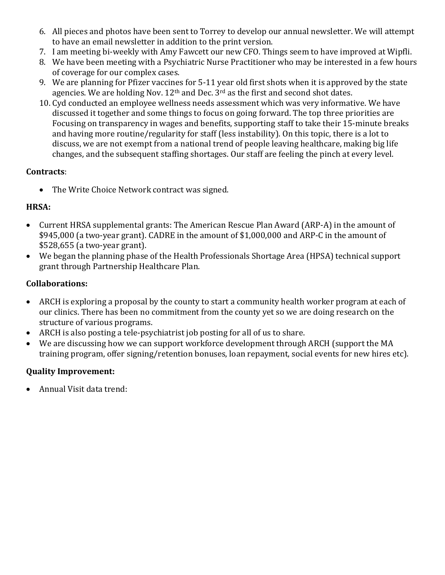- 6. All pieces and photos have been sent to Torrey to develop our annual newsletter. We will attempt to have an email newsletter in addition to the print version.
- 7. I am meeting bi-weekly with Amy Fawcett our new CFO. Things seem to have improved at Wipfli.
- 8. We have been meeting with a Psychiatric Nurse Practitioner who may be interested in a few hours of coverage for our complex cases.
- 9. We are planning for Pfizer vaccines for 5-11 year old first shots when it is approved by the state agencies. We are holding Nov.  $12<sup>th</sup>$  and Dec.  $3<sup>rd</sup>$  as the first and second shot dates.
- 10. Cyd conducted an employee wellness needs assessment which was very informative. We have discussed it together and some things to focus on going forward. The top three priorities are Focusing on transparency in wages and benefits, supporting staff to take their 15-minute breaks and having more routine/regularity for staff (less instability). On this topic, there is a lot to discuss, we are not exempt from a national trend of people leaving healthcare, making big life changes, and the subsequent staffing shortages. Our staff are feeling the pinch at every level.

### **Contracts**:

• The Write Choice Network contract was signed.

### **HRSA:**

- Current HRSA supplemental grants: The American Rescue Plan Award (ARP-A) in the amount of \$945,000 (a two-year grant). CADRE in the amount of \$1,000,000 and ARP-C in the amount of \$528,655 (a two-year grant).
- We began the planning phase of the Health Professionals Shortage Area (HPSA) technical support grant through Partnership Healthcare Plan.

#### **Collaborations:**

- ARCH is exploring a proposal by the county to start a community health worker program at each of our clinics. There has been no commitment from the county yet so we are doing research on the structure of various programs.
- ARCH is also posting a tele-psychiatrist job posting for all of us to share.
- We are discussing how we can support workforce development through ARCH (support the MA training program, offer signing/retention bonuses, loan repayment, social events for new hires etc).

### **Quality Improvement:**

• Annual Visit data trend: